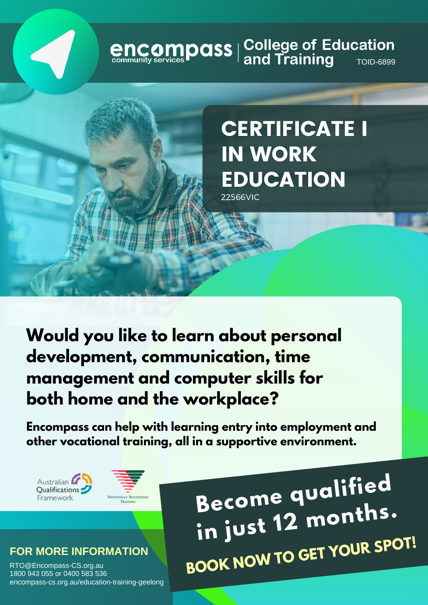# **encompass** | College of Education<br>
community services **Pand Training**

## CERTIFICATE I IN WORK **EDUCATION**

22566VIC

**Would you like to learn about personal development, communication, time management and computer skills for both home and the workplace?**

**Encompass can help with learning entry into employment and other vocational training, all in a supportive environment.**

Australian Qualifications Framework



#### **FOR MORE INFORMATION**

RTO@Encompass-CS.org.au 1800 943 055 or 0400 583 536 encompass-cs.org.au/education-training-geelong

**Become qualifie<sup>d</sup> in just <sup>12</sup> months. BOOK NOW TO GET YOUR SPOT!**